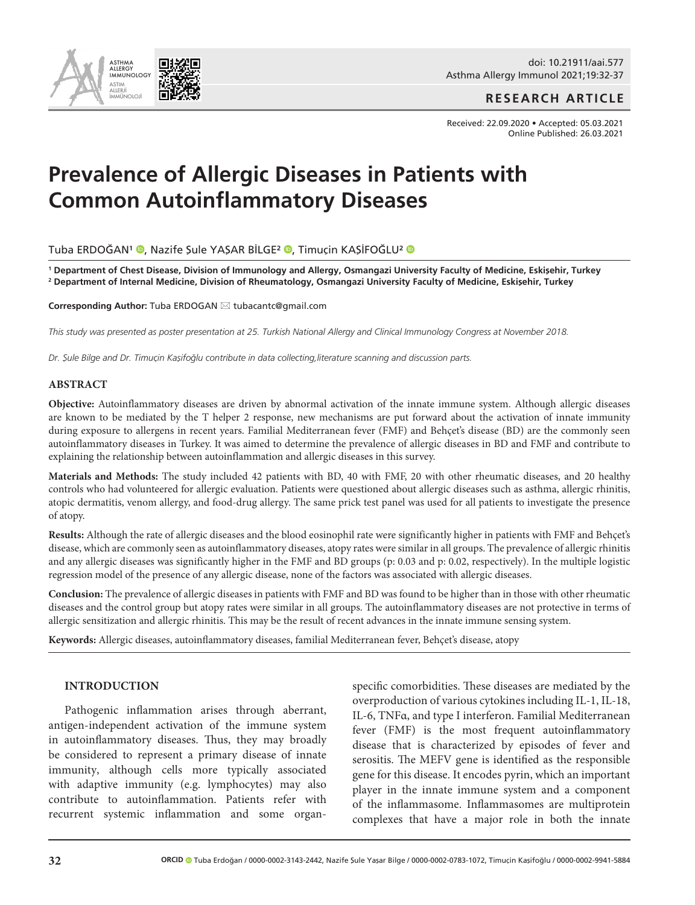

doi: 10.21911/aai.577 Asthma Allergy Immunol 2021;19:32-37

## **RESEARCH ARTICLE**

Received: 22.09.2020 • Accepted: 05.03.2021 Online Published: 26.03.2021

# **Prevalence of Allergic Diseases in Patients with Common Autoinflammatory Diseases**

TubaERDOĞAN<sup>1</sup> ®, Nazife Şule YAŞAR BİLGE<sup>2</sup> ®, Timuçin KAŞİFOĞLU<sup>2</sup> ®

**<sup>1</sup> Department of Chest Disease, Division of Immunology and Allergy, Osmangazi University Faculty of Medicine, Eskişehir, Turkey 2 Department of Internal Medicine, Division of Rheumatology, Osmangazi University Faculty of Medicine, Eskişehir, Turkey**

Corresponding Author: Tuba ERDOGAN  $\boxtimes$  tubacantc@gmail.com

*This study was presented as poster presentation at 25. Turkish National Allergy and Clinical Immunology Congress at November 2018.*

*Dr. Şule Bilge and Dr. Timuçin Kaşifoğlu contribute in data collecting,literature scanning and discussion parts.* 

#### **ABSTRACT**

**Objective:** Autoinflammatory diseases are driven by abnormal activation of the innate immune system. Although allergic diseases are known to be mediated by the T helper 2 response, new mechanisms are put forward about the activation of innate immunity during exposure to allergens in recent years. Familial Mediterranean fever (FMF) and Behçet's disease (BD) are the commonly seen autoinflammatory diseases in Turkey. It was aimed to determine the prevalence of allergic diseases in BD and FMF and contribute to explaining the relationship between autoinflammation and allergic diseases in this survey.

**Materials and Methods:** The study included 42 patients with BD, 40 with FMF, 20 with other rheumatic diseases, and 20 healthy controls who had volunteered for allergic evaluation. Patients were questioned about allergic diseases such as asthma, allergic rhinitis, atopic dermatitis, venom allergy, and food-drug allergy. The same prick test panel was used for all patients to investigate the presence of atopy.

**Results:** Although the rate of allergic diseases and the blood eosinophil rate were significantly higher in patients with FMF and Behçet's disease, which are commonly seen as autoinflammatory diseases, atopy rates were similar in all groups. The prevalence of allergic rhinitis and any allergic diseases was significantly higher in the FMF and BD groups (p: 0.03 and p: 0.02, respectively). In the multiple logistic regression model of the presence of any allergic disease, none of the factors was associated with allergic diseases.

**Conclusion:** The prevalence of allergic diseases in patients with FMF and BD was found to be higher than in those with other rheumatic diseases and the control group but atopy rates were similar in all groups. The autoinflammatory diseases are not protective in terms of allergic sensitization and allergic rhinitis. This may be the result of recent advances in the innate immune sensing system.

**Keywords:** Allergic diseases, autoinflammatory diseases, familial Mediterranean fever, Behçet's disease, atopy

#### **INTRODUCTION**

Pathogenic inflammation arises through aberrant, antigen-independent activation of the immune system in autoinflammatory diseases. Thus, they may broadly be considered to represent a primary disease of innate immunity, although cells more typically associated with adaptive immunity (e.g. lymphocytes) may also contribute to autoinflammation. Patients refer with recurrent systemic inflammation and some organspecific comorbidities. These diseases are mediated by the overproduction of various cytokines including IL-1, IL-18, IL-6, TNFα, and type I interferon. Familial Mediterranean fever (FMF) is the most frequent autoinflammatory disease that is characterized by episodes of fever and serositis. The MEFV gene is identified as the responsible gene for this disease. It encodes pyrin, which an important player in the innate immune system and a component of the inflammasome. Inflammasomes are multiprotein complexes that have a major role in both the innate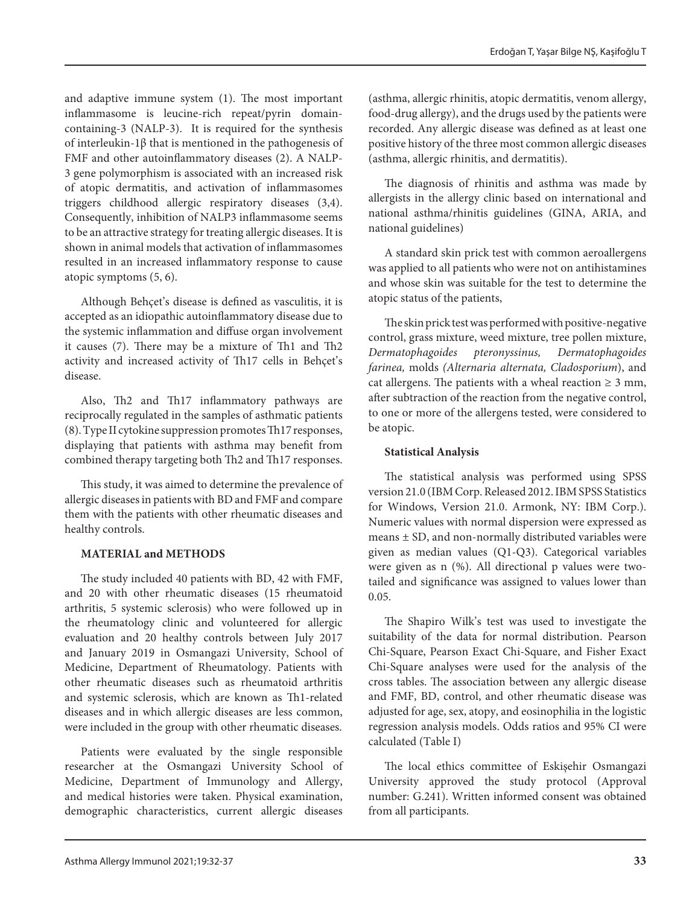and adaptive immune system (1). The most important inflammasome is leucine-rich repeat/pyrin domaincontaining-3 (NALP-3). It is required for the synthesis of interleukin-1β that is mentioned in the pathogenesis of FMF and other autoinflammatory diseases (2). A NALP-3 gene polymorphism is associated with an increased risk of atopic dermatitis, and activation of inflammasomes triggers childhood allergic respiratory diseases (3,4). Consequently, inhibition of NALP3 inflammasome seems to be an attractive strategy for treating allergic diseases. It is shown in animal models that activation of inflammasomes resulted in an increased inflammatory response to cause atopic symptoms (5, 6).

Although Behçet's disease is defined as vasculitis, it is accepted as an idiopathic autoinflammatory disease due to the systemic inflammation and diffuse organ involvement it causes (7). There may be a mixture of Th1 and Th2 activity and increased activity of Th17 cells in Behçet's disease.

Also, Th2 and Th17 inflammatory pathways are reciprocally regulated in the samples of asthmatic patients (8). Type II cytokine suppression promotes Th17 responses, displaying that patients with asthma may benefit from combined therapy targeting both Th2 and Th17 responses.

This study, it was aimed to determine the prevalence of allergic diseases in patients with BD and FMF and compare them with the patients with other rheumatic diseases and healthy controls.

# **MATERIAL and METHODS**

The study included 40 patients with BD, 42 with FMF, and 20 with other rheumatic diseases (15 rheumatoid arthritis, 5 systemic sclerosis) who were followed up in the rheumatology clinic and volunteered for allergic evaluation and 20 healthy controls between July 2017 and January 2019 in Osmangazi University, School of Medicine, Department of Rheumatology. Patients with other rheumatic diseases such as rheumatoid arthritis and systemic sclerosis, which are known as Th1-related diseases and in which allergic diseases are less common, were included in the group with other rheumatic diseases.

Patients were evaluated by the single responsible researcher at the Osmangazi University School of Medicine, Department of Immunology and Allergy, and medical histories were taken. Physical examination, demographic characteristics, current allergic diseases

(asthma, allergic rhinitis, atopic dermatitis, venom allergy, food-drug allergy), and the drugs used by the patients were recorded. Any allergic disease was defined as at least one positive history of the three most common allergic diseases (asthma, allergic rhinitis, and dermatitis).

The diagnosis of rhinitis and asthma was made by allergists in the allergy clinic based on international and national asthma/rhinitis guidelines (GINA, ARIA, and national guidelines)

A standard skin prick test with common aeroallergens was applied to all patients who were not on antihistamines and whose skin was suitable for the test to determine the atopic status of the patients,

The skin prick test was performed with positive-negative control, grass mixture, weed mixture, tree pollen mixture, *Dermatophagoides pteronyssinus, Dermatophagoides farinea,* molds *(Alternaria alternata, Cladosporium*), and cat allergens. The patients with a wheal reaction  $\geq 3$  mm, after subtraction of the reaction from the negative control, to one or more of the allergens tested, were considered to be atopic.

# **Statistical Analysis**

The statistical analysis was performed using SPSS version 21.0 (IBM Corp. Released 2012. IBM SPSS Statistics for Windows, Version 21.0. Armonk, NY: IBM Corp.). Numeric values with normal dispersion were expressed as means  $\pm$  SD, and non-normally distributed variables were given as median values (Q1-Q3). Categorical variables were given as n (%). All directional p values were twotailed and significance was assigned to values lower than 0.05.

The Shapiro Wilk's test was used to investigate the suitability of the data for normal distribution. Pearson Chi-Square, Pearson Exact Chi-Square, and Fisher Exact Chi-Square analyses were used for the analysis of the cross tables. The association between any allergic disease and FMF, BD, control, and other rheumatic disease was adjusted for age, sex, atopy, and eosinophilia in the logistic regression analysis models. Odds ratios and 95% CI were calculated (Table I)

The local ethics committee of Eskişehir Osmangazi University approved the study protocol (Approval number: G.241). Written informed consent was obtained from all participants.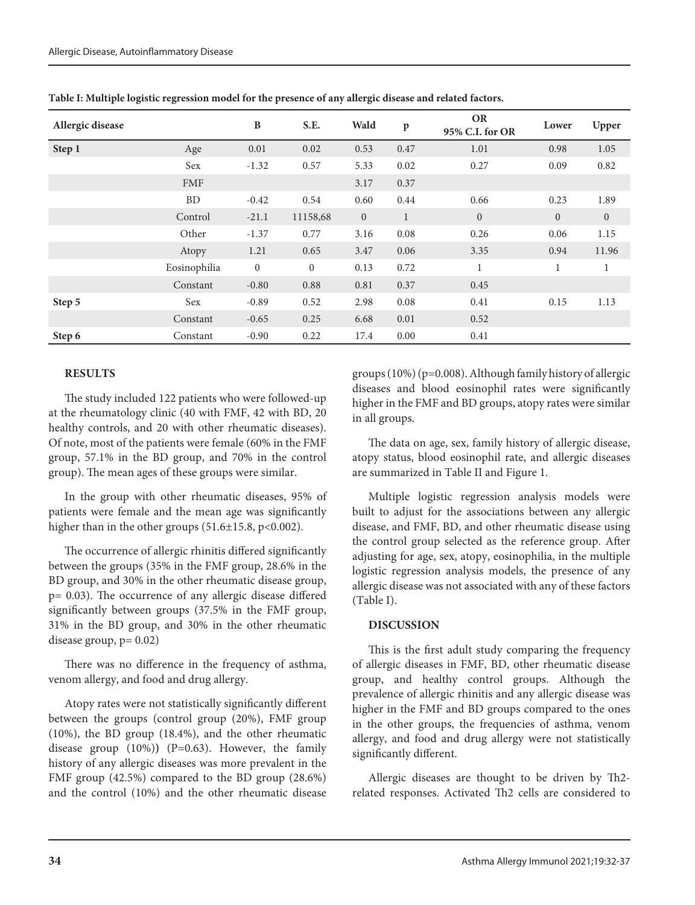| Allergic disease |              | B              | S.E.     | Wald         | $\mathbf{p}$ | <b>OR</b><br>95% C.I. for OR | Lower          | Upper        |
|------------------|--------------|----------------|----------|--------------|--------------|------------------------------|----------------|--------------|
| Step 1           | Age          | 0.01           | 0.02     | 0.53         | 0.47         | 1.01                         | 0.98           | 1.05         |
|                  | Sex          | $-1.32$        | 0.57     | 5.33         | 0.02         | 0.27                         | 0.09           | 0.82         |
|                  | <b>FMF</b>   |                |          | 3.17         | 0.37         |                              |                |              |
|                  | <b>BD</b>    | $-0.42$        | 0.54     | 0.60         | 0.44         | 0.66                         | 0.23           | 1.89         |
|                  | Control      | $-21.1$        | 11158,68 | $\mathbf{0}$ | $\mathbf{1}$ | $\overline{0}$               | $\overline{0}$ | $\mathbf{0}$ |
|                  | Other        | $-1.37$        | 0.77     | 3.16         | 0.08         | 0.26                         | 0.06           | 1.15         |
|                  | Atopy        | 1.21           | 0.65     | 3.47         | 0.06         | 3.35                         | 0.94           | 11.96        |
|                  | Eosinophilia | $\overline{0}$ | $\theta$ | 0.13         | 0.72         | $\mathbf{1}$                 | $\mathbf{1}$   | $\mathbf{1}$ |
|                  | Constant     | $-0.80$        | 0.88     | 0.81         | 0.37         | 0.45                         |                |              |
| Step 5           | Sex          | $-0.89$        | 0.52     | 2.98         | 0.08         | 0.41                         | 0.15           | 1.13         |
|                  | Constant     | $-0.65$        | 0.25     | 6.68         | 0.01         | 0.52                         |                |              |
| Step 6           | Constant     | $-0.90$        | 0.22     | 17.4         | 0.00         | 0.41                         |                |              |

**Table I: Multiple logistic regression model for the presence of any allergic disease and related factors.**

## **RESULTS**

The study included 122 patients who were followed-up at the rheumatology clinic (40 with FMF, 42 with BD, 20 healthy controls, and 20 with other rheumatic diseases). Of note, most of the patients were female (60% in the FMF group, 57.1% in the BD group, and 70% in the control group). The mean ages of these groups were similar.

In the group with other rheumatic diseases, 95% of patients were female and the mean age was significantly higher than in the other groups (51.6±15.8, p<0.002).

The occurrence of allergic rhinitis differed significantly between the groups (35% in the FMF group, 28.6% in the BD group, and 30% in the other rheumatic disease group, p= 0.03). The occurrence of any allergic disease differed significantly between groups (37.5% in the FMF group, 31% in the BD group, and 30% in the other rheumatic disease group,  $p = 0.02$ )

There was no difference in the frequency of asthma, venom allergy, and food and drug allergy.

Atopy rates were not statistically significantly different between the groups (control group (20%), FMF group (10%), the BD group (18.4%), and the other rheumatic disease group  $(10\%)$   $(P=0.63)$ . However, the family history of any allergic diseases was more prevalent in the FMF group (42.5%) compared to the BD group (28.6%) and the control (10%) and the other rheumatic disease

groups (10%) (p=0.008). Although family history of allergic diseases and blood eosinophil rates were significantly higher in the FMF and BD groups, atopy rates were similar in all groups.

The data on age, sex, family history of allergic disease, atopy status, blood eosinophil rate, and allergic diseases are summarized in Table II and Figure 1.

Multiple logistic regression analysis models were built to adjust for the associations between any allergic disease, and FMF, BD, and other rheumatic disease using the control group selected as the reference group. After adjusting for age, sex, atopy, eosinophilia, in the multiple logistic regression analysis models, the presence of any allergic disease was not associated with any of these factors (Table I).

## **DISCUSSION**

This is the first adult study comparing the frequency of allergic diseases in FMF, BD, other rheumatic disease group, and healthy control groups. Although the prevalence of allergic rhinitis and any allergic disease was higher in the FMF and BD groups compared to the ones in the other groups, the frequencies of asthma, venom allergy, and food and drug allergy were not statistically significantly different.

Allergic diseases are thought to be driven by Th2 related responses. Activated Th2 cells are considered to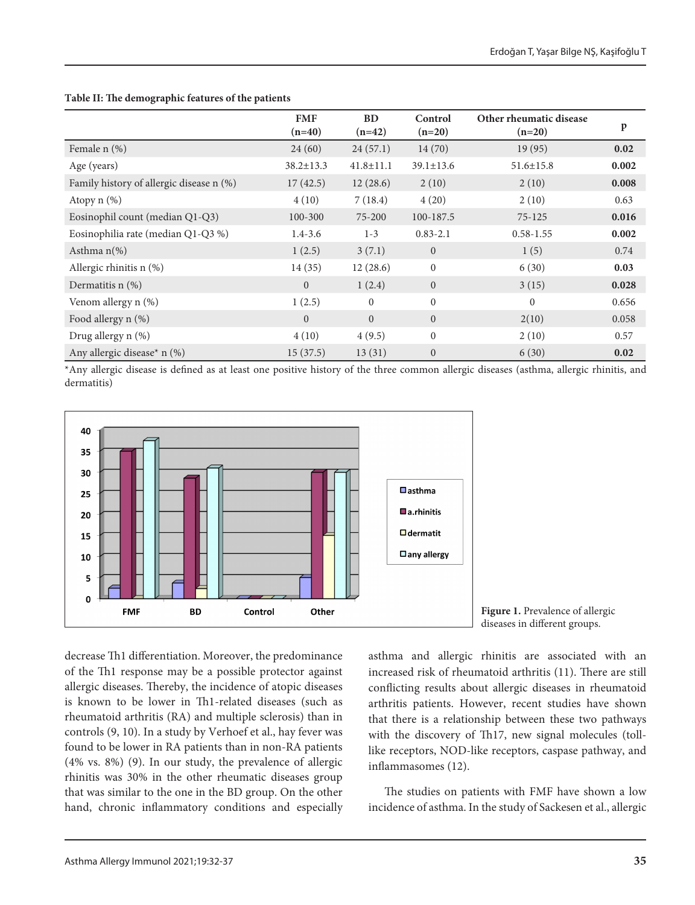|                                          | <b>FMF</b><br>$(n=40)$ | <b>BD</b><br>$(n=42)$ | Control<br>$(n=20)$ | Other rheumatic disease<br>$(n=20)$ | $\mathbf{p}$ |
|------------------------------------------|------------------------|-----------------------|---------------------|-------------------------------------|--------------|
| Female n (%)                             | 24(60)                 | 24(57.1)              | 14(70)              | 19(95)                              | 0.02         |
| Age (years)                              | $38.2 \pm 13.3$        | $41.8 \pm 11.1$       | $39.1 \pm 13.6$     | $51.6 \pm 15.8$                     | 0.002        |
| Family history of allergic disease n (%) | 17(42.5)               | 12(28.6)              | 2(10)               | 2(10)                               | 0.008        |
| Atopy $n$ $(\%)$                         | 4(10)                  | 7(18.4)               | 4(20)               | 2(10)                               | 0.63         |
| Eosinophil count (median Q1-Q3)          | 100-300                | 75-200                | 100-187.5           | $75 - 125$                          | 0.016        |
| Eosinophilia rate (median Q1-Q3 %)       | $1.4 - 3.6$            | $1 - 3$               | $0.83 - 2.1$        | $0.58 - 1.55$                       | 0.002        |
| Asthma $n$ <sup>(%)</sup>                | 1(2.5)                 | 3(7.1)                | $\overline{0}$      | 1(5)                                | 0.74         |
| Allergic rhinitis n (%)                  | 14(35)                 | 12(28.6)              | $\mathbf{0}$        | 6(30)                               | 0.03         |
| Dermatitis $n$ (%)                       | $\Omega$               | 1(2.4)                | $\overline{0}$      | 3(15)                               | 0.028        |
| Venom allergy n (%)                      | 1(2.5)                 | $\mathbf{0}$          | $\mathbf{0}$        | $\mathbf{0}$                        | 0.656        |
| Food allergy n (%)                       | $\Omega$               | $\Omega$              | $\overline{0}$      | 2(10)                               | 0.058        |
| Drug allergy n (%)                       | 4(10)                  | 4(9.5)                | $\mathbf{0}$        | 2(10)                               | 0.57         |
| Any allergic disease* $n$ (%)            | 15(37.5)               | 13(31)                | $\boldsymbol{0}$    | 6(30)                               | 0.02         |

#### **Table II: The demographic features of the patients**

\*Any allergic disease is defined as at least one positive history of the three common allergic diseases (asthma, allergic rhinitis, and dermatitis)





decrease Th1 differentiation. Moreover, the predominance of the Th1 response may be a possible protector against allergic diseases. Thereby, the incidence of atopic diseases is known to be lower in Th1-related diseases (such as rheumatoid arthritis (RA) and multiple sclerosis) than in controls (9, 10). In a study by Verhoef et al., hay fever was found to be lower in RA patients than in non-RA patients (4% vs. 8%) (9). In our study, the prevalence of allergic rhinitis was 30% in the other rheumatic diseases group that was similar to the one in the BD group. On the other hand, chronic inflammatory conditions and especially asthma and allergic rhinitis are associated with an increased risk of rheumatoid arthritis (11). There are still conflicting results about allergic diseases in rheumatoid arthritis patients. However, recent studies have shown that there is a relationship between these two pathways with the discovery of Th17, new signal molecules (tolllike receptors, NOD-like receptors, caspase pathway, and inflammasomes (12).

The studies on patients with FMF have shown a low incidence of asthma. In the study of Sackesen et al., allergic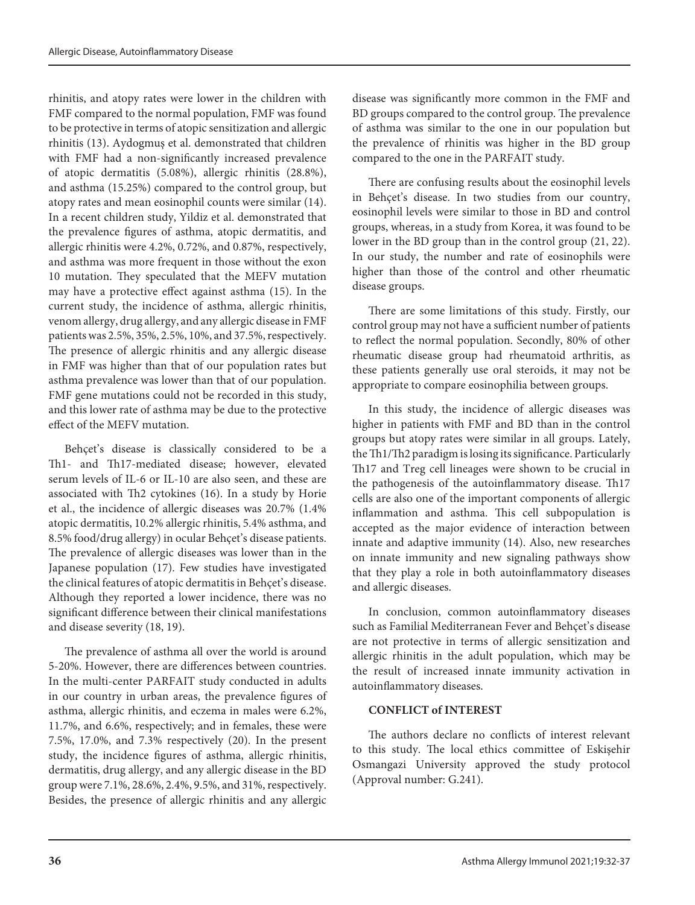rhinitis, and atopy rates were lower in the children with FMF compared to the normal population, FMF was found to be protective in terms of atopic sensitization and allergic rhinitis (13). Aydogmuş et al. demonstrated that children with FMF had a non-significantly increased prevalence of atopic dermatitis (5.08%), allergic rhinitis (28.8%), and asthma (15.25%) compared to the control group, but atopy rates and mean eosinophil counts were similar (14). In a recent children study, Yildiz et al. demonstrated that the prevalence figures of asthma, atopic dermatitis, and allergic rhinitis were 4.2%, 0.72%, and 0.87%, respectively, and asthma was more frequent in those without the exon 10 mutation. They speculated that the MEFV mutation may have a protective effect against asthma (15). In the current study, the incidence of asthma, allergic rhinitis, venom allergy, drug allergy, and any allergic disease in FMF patients was 2.5%, 35%, 2.5%, 10%, and 37.5%, respectively. The presence of allergic rhinitis and any allergic disease in FMF was higher than that of our population rates but asthma prevalence was lower than that of our population. FMF gene mutations could not be recorded in this study, and this lower rate of asthma may be due to the protective effect of the MEFV mutation.

Behçet's disease is classically considered to be a Th1- and Th17-mediated disease; however, elevated serum levels of IL-6 or IL-10 are also seen, and these are associated with Th2 cytokines (16). In a study by Horie et al., the incidence of allergic diseases was 20.7% (1.4% atopic dermatitis, 10.2% allergic rhinitis, 5.4% asthma, and 8.5% food/drug allergy) in ocular Behçet's disease patients. The prevalence of allergic diseases was lower than in the Japanese population (17). Few studies have investigated the clinical features of atopic dermatitis in Behçet's disease. Although they reported a lower incidence, there was no significant difference between their clinical manifestations and disease severity (18, 19).

The prevalence of asthma all over the world is around 5-20%. However, there are differences between countries. In the multi-center PARFAIT study conducted in adults in our country in urban areas, the prevalence figures of asthma, allergic rhinitis, and eczema in males were 6.2%, 11.7%, and 6.6%, respectively; and in females, these were 7.5%, 17.0%, and 7.3% respectively (20). In the present study, the incidence figures of asthma, allergic rhinitis, dermatitis, drug allergy, and any allergic disease in the BD group were 7.1%, 28.6%, 2.4%, 9.5%, and 31%, respectively. Besides, the presence of allergic rhinitis and any allergic disease was significantly more common in the FMF and BD groups compared to the control group. The prevalence of asthma was similar to the one in our population but the prevalence of rhinitis was higher in the BD group compared to the one in the PARFAIT study.

There are confusing results about the eosinophil levels in Behçet's disease. In two studies from our country, eosinophil levels were similar to those in BD and control groups, whereas, in a study from Korea, it was found to be lower in the BD group than in the control group (21, 22). In our study, the number and rate of eosinophils were higher than those of the control and other rheumatic disease groups.

There are some limitations of this study. Firstly, our control group may not have a sufficient number of patients to reflect the normal population. Secondly, 80% of other rheumatic disease group had rheumatoid arthritis, as these patients generally use oral steroids, it may not be appropriate to compare eosinophilia between groups.

In this study, the incidence of allergic diseases was higher in patients with FMF and BD than in the control groups but atopy rates were similar in all groups. Lately, the Th1/Th2 paradigm is losing its significance. Particularly Th17 and Treg cell lineages were shown to be crucial in the pathogenesis of the autoinflammatory disease. Th17 cells are also one of the important components of allergic inflammation and asthma. This cell subpopulation is accepted as the major evidence of interaction between innate and adaptive immunity (14). Also, new researches on innate immunity and new signaling pathways show that they play a role in both autoinflammatory diseases and allergic diseases.

In conclusion, common autoinflammatory diseases such as Familial Mediterranean Fever and Behçet's disease are not protective in terms of allergic sensitization and allergic rhinitis in the adult population, which may be the result of increased innate immunity activation in autoinflammatory diseases.

## **CONFLICT of INTEREST**

The authors declare no conflicts of interest relevant to this study. The local ethics committee of Eskişehir Osmangazi University approved the study protocol (Approval number: G.241).